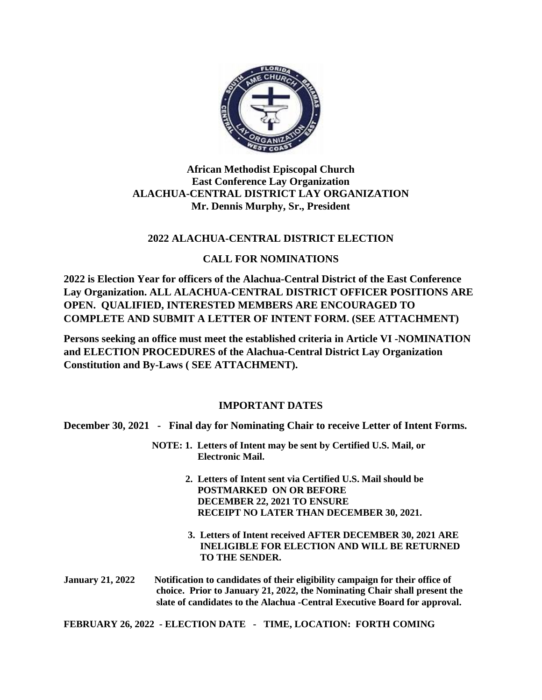

# **African Methodist Episcopal Church East Conference Lay Organization ALACHUA-CENTRAL DISTRICT LAY ORGANIZATION Mr. Dennis Murphy, Sr., President**

# **2022 ALACHUA-CENTRAL DISTRICT ELECTION**

## **CALL FOR NOMINATIONS**

**2022 is Election Year for officers of the Alachua-Central District of the East Conference Lay Organization. ALL ALACHUA-CENTRAL DISTRICT OFFICER POSITIONS ARE OPEN. QUALIFIED, INTERESTED MEMBERS ARE ENCOURAGED TO COMPLETE AND SUBMIT A LETTER OF INTENT FORM. (SEE ATTACHMENT)**

**Persons seeking an office must meet the established criteria in Article VI -NOMINATION and ELECTION PROCEDURES of the Alachua-Central District Lay Organization Constitution and By-Laws ( SEE ATTACHMENT).**

# **IMPORTANT DATES**

**December 30, 2021 - Final day for Nominating Chair to receive Letter of Intent Forms.**

- **NOTE: 1. Letters of Intent may be sent by Certified U.S. Mail, or Electronic Mail.** 
	- **2. Letters of Intent sent via Certified U.S. Mail should be POSTMARKED ON OR BEFORE DECEMBER 22, 2021 TO ENSURE RECEIPT NO LATER THAN DECEMBER 30, 2021.**
	- **3. Letters of Intent received AFTER DECEMBER 30, 2021 ARE INELIGIBLE FOR ELECTION AND WILL BE RETURNED TO THE SENDER.**

**January 21, 2022 Notification to candidates of their eligibility campaign for their office of choice. Prior to January 21, 2022, the Nominating Chair shall present the slate of candidates to the Alachua -Central Executive Board for approval.** 

**FEBRUARY 26, 2022 - ELECTION DATE - TIME, LOCATION: FORTH COMING**